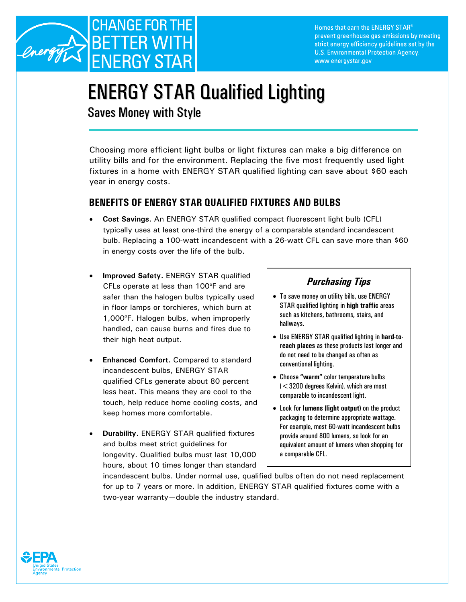

Homes that earn the ENERGY STAR® prevent greenhouse gas emissions by meeting strict energy efficiency guidelines set by the U.S. Environmental Protection Agency. www.energystar.gov

# ENERGY STAR Qualified Lighting

Saves Money with Style

Choosing more efficient light bulbs or light fixtures can make a big difference on utility bills and for the environment. Replacing the five most frequently used light fixtures in a home with ENERGY STAR qualified lighting can save about \$60 each year in energy costs.

## **BENEFITS OF ENERGY STAR QUALIFIED FIXTURES AND BULBS**

- **Cost Savings.** An ENERGY STAR qualified compact fluorescent light bulb (CFL) typically uses at least one-third the energy of a comparable standard incandescent bulb. Replacing a 100-watt incandescent with a 26-watt CFL can save more than \$60 in energy costs over the life of the bulb.
- **Improved Safety.** ENERGY STAR qualified CFLs operate at less than 100°F and are safer than the halogen bulbs typically used in floor lamps or torchieres, which burn at 1,000°F. Halogen bulbs, when improperly handled, can cause burns and fires due to their high heat output.
- **Enhanced Comfort.** Compared to standard incandescent bulbs, ENERGY STAR qualified CFLs generate about 80 percent less heat. This means they are cool to the touch, help reduce home cooling costs, and keep homes more comfortable.
- **Durability.** ENERGY STAR qualified fixtures and bulbs meet strict guidelines for longevity. Qualified bulbs must last 10,000 hours, about 10 times longer than standard

# *Purchasing Tips*

- To save money on utility bills, use ENERGY STAR qualified lighting in **high traffic** areas such as kitchens, bathrooms, stairs, and hallways.
- Use ENERGY STAR qualified lighting in **hard-toreach places** as these products last longer and do not need to be changed as often as conventional lighting.
- Choose **"warm"** color temperature bulbs (<3200 degrees Kelvin), which are most comparable to incandescent light.
- Look for **lumens (light output)** on the product packaging to determine appropriate wattage. For example, most 60-watt incandescent bulbs provide around 800 lumens, so look for an equivalent amount of lumens when shopping for a comparable CFL.

incandescent bulbs. Under normal use, qualified bulbs often do not need replacement for up to 7 years or more. In addition, ENERGY STAR qualified fixtures come with a two-year warranty—double the industry standard.